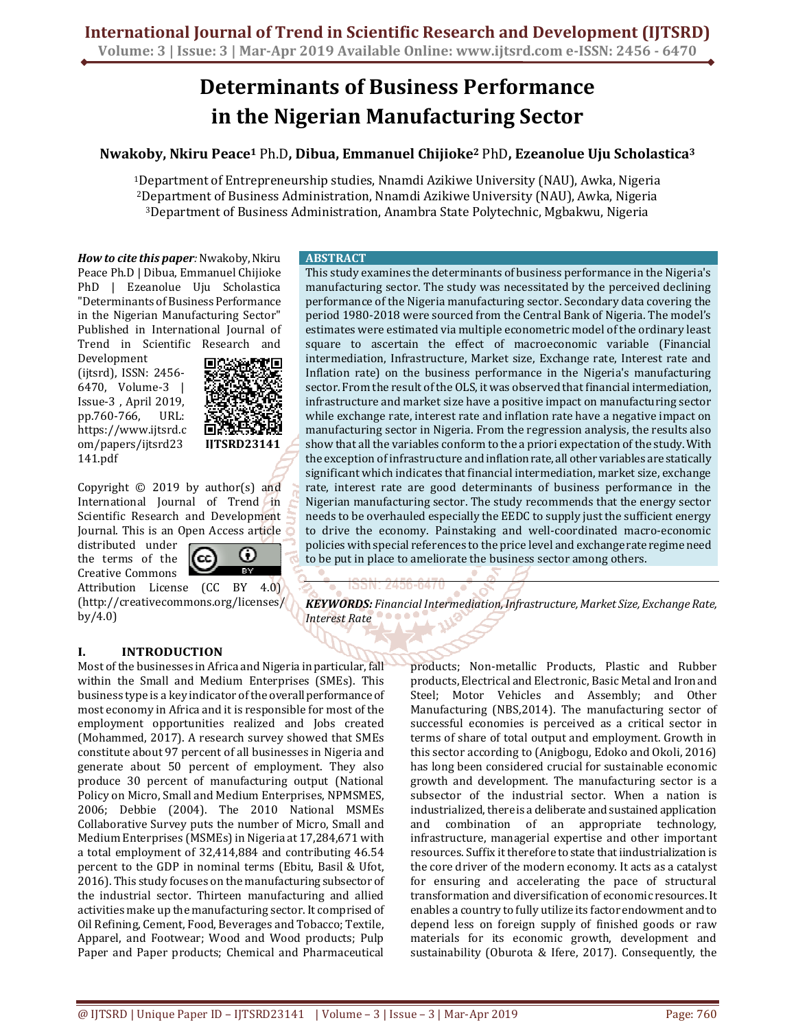## **Determinants of Business Performance in the Nigerian Manufacturing Sector**

## **Nwakoby, Nkiru Peace<sup>1</sup>** Ph.D**, Dibua, Emmanuel Chijioke<sup>2</sup>** PhD**, Ezeanolue Uju Scholastica<sup>3</sup>**

<sup>1</sup>Department of Entrepreneurship studies, Nnamdi Azikiwe University (NAU), Awka, Nigeria <sup>2</sup>Department of Business Administration, Nnamdi Azikiwe University (NAU), Awka, Nigeria <sup>3</sup>Department of Business Administration, Anambra State Polytechnic, Mgbakwu, Nigeria

*How to cite this paper:* Nwakoby, Nkiru Peace Ph.D | Dibua, Emmanuel Chijioke PhD | Ezeanolue Uju Scholastica "Determinants of Business Performance in the Nigerian Manufacturing Sector" Published in International Journal of Trend in Scientific Research and

Development (ijtsrd), ISSN: 2456- 6470, Volume-3 | Issue-3 , April 2019, pp.760-766, URL: https://www.ijtsrd.c om/papers/ijtsrd23 141.pdf



Copyright  $©$  2019 by author(s) and International Journal of Trend in Scientific Research and Development Journal. This is an Open Access article

distributed under the terms of the Creative Commons

ω **Tara** 

Attribution License (CC BY 4.0) (http://creativecommons.org/licenses/ by/4.0)

#### **I. INTRODUCTION**

Most of the businesses in Africa and Nigeria in particular, fall within the Small and Medium Enterprises (SMEs). This business type is a key indicator of the overall performance of most economy in Africa and it is responsible for most of the employment opportunities realized and Jobs created (Mohammed, 2017). A research survey showed that SMEs constitute about 97 percent of all businesses in Nigeria and generate about 50 percent of employment. They also produce 30 percent of manufacturing output (National Policy on Micro, Small and Medium Enterprises, NPMSMES, 2006; Debbie (2004). The 2010 National MSMEs Collaborative Survey puts the number of Micro, Small and Medium Enterprises (MSMEs) in Nigeria at 17,284,671 with a total employment of 32,414,884 and contributing 46.54 percent to the GDP in nominal terms (Ebitu, Basil & Ufot, 2016). This study focuses on the manufacturing subsector of the industrial sector. Thirteen manufacturing and allied activities make up the manufacturing sector. It comprised of Oil Refining, Cement, Food, Beverages and Tobacco; Textile, Apparel, and Footwear; Wood and Wood products; Pulp Paper and Paper products; Chemical and Pharmaceutical

### **ABSTRACT**

This study examines the determinants of business performance in the Nigeria's manufacturing sector. The study was necessitated by the perceived declining performance of the Nigeria manufacturing sector. Secondary data covering the period 1980-2018 were sourced from the Central Bank of Nigeria. The model's estimates were estimated via multiple econometric model of the ordinary least square to ascertain the effect of macroeconomic variable (Financial intermediation, Infrastructure, Market size, Exchange rate, Interest rate and Inflation rate) on the business performance in the Nigeria's manufacturing sector. From the result of the OLS, it was observed that financial intermediation, infrastructure and market size have a positive impact on manufacturing sector while exchange rate, interest rate and inflation rate have a negative impact on manufacturing sector in Nigeria. From the regression analysis, the results also show that all the variables conform to the a priori expectation of the study. With the exception of infrastructure and inflation rate, all other variables are statically significant which indicates that financial intermediation, market size, exchange rate, interest rate are good determinants of business performance in the Nigerian manufacturing sector. The study recommends that the energy sector needs to be overhauled especially the EEDC to supply just the sufficient energy to drive the economy. Painstaking and well-coordinated macro-economic policies with special references to the price level and exchange rate regime need to be put in place to ameliorate the business sector among others.

*KEYWORDS: Financial Intermediation, Infrastructure, Market Size, Exchange Rate, Interest Rate* 

> products; Non-metallic Products, Plastic and Rubber products, Electrical and Electronic, Basic Metal and Iron and Steel; Motor Vehicles and Assembly; and Other Manufacturing (NBS,2014). The manufacturing sector of successful economies is perceived as a critical sector in terms of share of total output and employment. Growth in this sector according to (Anigbogu, Edoko and Okoli, 2016) has long been considered crucial for sustainable economic growth and development. The manufacturing sector is a subsector of the industrial sector. When a nation is industrialized, there is a deliberate and sustained application and combination of an appropriate technology, infrastructure, managerial expertise and other important resources. Suffix it therefore to state that iindustrialization is the core driver of the modern economy. It acts as a catalyst for ensuring and accelerating the pace of structural transformation and diversification of economic resources. It enables a country to fully utilize its factor endowment and to depend less on foreign supply of finished goods or raw materials for its economic growth, development and sustainability (Oburota & Ifere, 2017). Consequently, the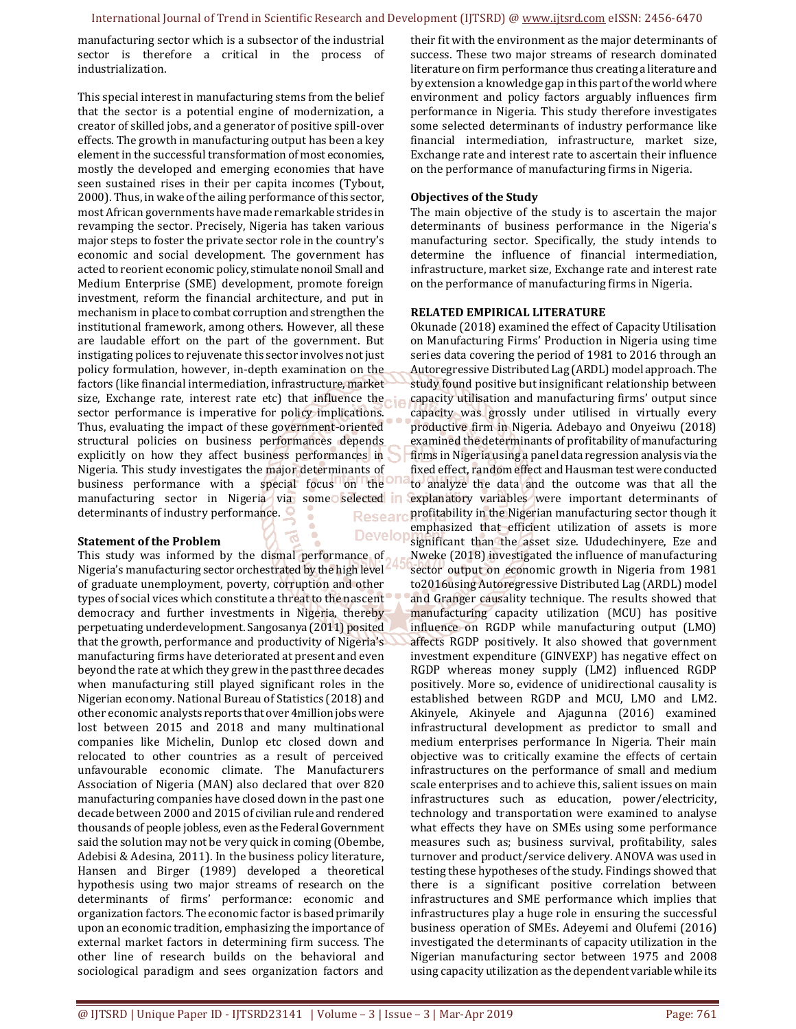**Develor** 

manufacturing sector which is a subsector of the industrial sector is therefore a critical in the process of industrialization.

This special interest in manufacturing stems from the belief that the sector is a potential engine of modernization, a creator of skilled jobs, and a generator of positive spill-over effects. The growth in manufacturing output has been a key element in the successful transformation of most economies, mostly the developed and emerging economies that have seen sustained rises in their per capita incomes (Tybout, 2000). Thus, in wake of the ailing performance of this sector, most African governments have made remarkable strides in revamping the sector. Precisely, Nigeria has taken various major steps to foster the private sector role in the country's economic and social development. The government has acted to reorient economic policy, stimulate nonoil Small and Medium Enterprise (SME) development, promote foreign investment, reform the financial architecture, and put in mechanism in place to combat corruption and strengthen the institutional framework, among others. However, all these are laudable effort on the part of the government. But instigating polices to rejuvenate this sector involves not just policy formulation, however, in-depth examination on the factors (like financial intermediation, infrastructure, market size, Exchange rate, interest rate etc) that influence the sector performance is imperative for policy implications. Thus, evaluating the impact of these government-oriented structural policies on business performances depends explicitly on how they affect business performances in Nigeria. This study investigates the major determinants of business performance with a special focus on the manufacturing sector in Nigeria via some selected in determinants of industry performance. **Researd** 

#### **Statement of the Problem**

This study was informed by the dismal performance of Nigeria's manufacturing sector orchestrated by the high level of graduate unemployment, poverty, corruption and other types of social vices which constitute a threat to the nascent democracy and further investments in Nigeria, thereby perpetuating underdevelopment. Sangosanya (2011) posited that the growth, performance and productivity of Nigeria's manufacturing firms have deteriorated at present and even beyond the rate at which they grew in the past three decades when manufacturing still played significant roles in the Nigerian economy. National Bureau of Statistics (2018) and other economic analysts reports that over 4million jobs were lost between 2015 and 2018 and many multinational companies like Michelin, Dunlop etc closed down and relocated to other countries as a result of perceived unfavourable economic climate. The Manufacturers Association of Nigeria (MAN) also declared that over 820 manufacturing companies have closed down in the past one decade between 2000 and 2015 of civilian rule and rendered thousands of people jobless, even as the Federal Government said the solution may not be very quick in coming (Obembe, Adebisi & Adesina, 2011). In the business policy literature, Hansen and Birger (1989) developed a theoretical hypothesis using two major streams of research on the determinants of firms' performance: economic and organization factors. The economic factor is based primarily upon an economic tradition, emphasizing the importance of external market factors in determining firm success. The other line of research builds on the behavioral and sociological paradigm and sees organization factors and

their fit with the environment as the major determinants of success. These two major streams of research dominated literature on firm performance thus creating a literature and by extension a knowledge gap in this part of the world where environment and policy factors arguably influences firm performance in Nigeria. This study therefore investigates some selected determinants of industry performance like financial intermediation, infrastructure, market size, Exchange rate and interest rate to ascertain their influence on the performance of manufacturing firms in Nigeria.

#### **Objectives of the Study**

The main objective of the study is to ascertain the major determinants of business performance in the Nigeria's manufacturing sector. Specifically, the study intends to determine the influence of financial intermediation, infrastructure, market size, Exchange rate and interest rate on the performance of manufacturing firms in Nigeria.

#### **RELATED EMPIRICAL LITERATURE**

Okunade (2018) examined the effect of Capacity Utilisation on Manufacturing Firms' Production in Nigeria using time series data covering the period of 1981 to 2016 through an Autoregressive Distributed Lag (ARDL) model approach. The study found positive but insignificant relationship between capacity utilisation and manufacturing firms' output since capacity was grossly under utilised in virtually every productive firm in Nigeria. Adebayo and Onyeiwu (2018) examined the determinants of profitability of manufacturing firms in Nigeria using a panel data regression analysis via the fixed effect, random effect and Hausman test were conducted to analyze the data and the outcome was that all the explanatory variables were important determinants of profitability in the Nigerian manufacturing sector though it emphasized that efficient utilization of assets is more significant than the asset size. Ududechinyere, Eze and Nweke (2018) investigated the influence of manufacturing sector output on economic growth in Nigeria from 1981 to2016using Autoregressive Distributed Lag (ARDL) model and Granger causality technique. The results showed that manufacturing capacity utilization (MCU) has positive influence on RGDP while manufacturing output (LMO) affects RGDP positively. It also showed that government investment expenditure (GINVEXP) has negative effect on RGDP whereas money supply (LM2) influenced RGDP positively. More so, evidence of unidirectional causality is established between RGDP and MCU, LMO and LM2. Akinyele, Akinyele and Ajagunna (2016) examined infrastructural development as predictor to small and medium enterprises performance In Nigeria. Their main objective was to critically examine the effects of certain infrastructures on the performance of small and medium scale enterprises and to achieve this, salient issues on main infrastructures such as education, power/electricity, technology and transportation were examined to analyse what effects they have on SMEs using some performance measures such as; business survival, profitability, sales turnover and product/service delivery. ANOVA was used in testing these hypotheses of the study. Findings showed that there is a significant positive correlation between infrastructures and SME performance which implies that infrastructures play a huge role in ensuring the successful business operation of SMEs. Adeyemi and Olufemi (2016) investigated the determinants of capacity utilization in the Nigerian manufacturing sector between 1975 and 2008 using capacity utilization as the dependent variable while its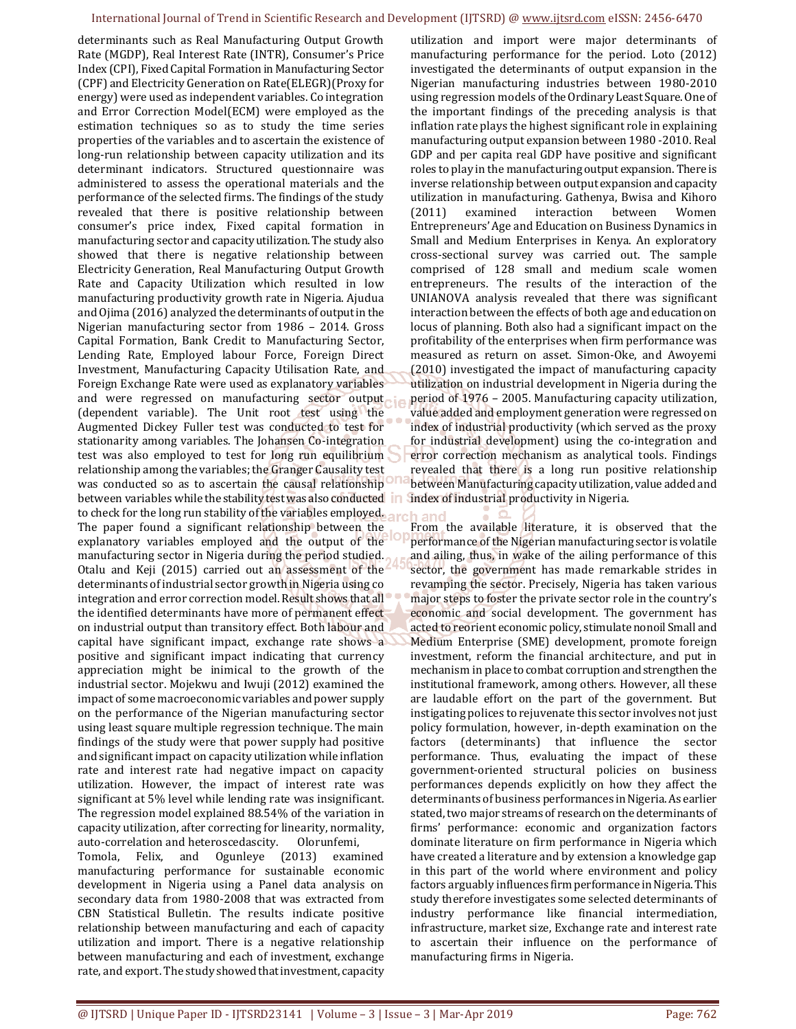#### International Journal of Trend in Scientific Research and Development (IJTSRD) @ www.ijtsrd.com eISSN: 2456-6470

determinants such as Real Manufacturing Output Growth Rate (MGDP), Real Interest Rate (INTR), Consumer's Price Index (CPI), Fixed Capital Formation in Manufacturing Sector (CPF) and Electricity Generation on Rate(ELEGR)(Proxy for energy) were used as independent variables. Co integration and Error Correction Model(ECM) were employed as the estimation techniques so as to study the time series properties of the variables and to ascertain the existence of long-run relationship between capacity utilization and its determinant indicators. Structured questionnaire was administered to assess the operational materials and the performance of the selected firms. The findings of the study revealed that there is positive relationship between consumer's price index, Fixed capital formation in manufacturing sector and capacity utilization. The study also showed that there is negative relationship between Electricity Generation, Real Manufacturing Output Growth Rate and Capacity Utilization which resulted in low manufacturing productivity growth rate in Nigeria. Ajudua and Ojima (2016) analyzed the determinants of output in the Nigerian manufacturing sector from 1986 – 2014. Gross Capital Formation, Bank Credit to Manufacturing Sector, Lending Rate, Employed labour Force, Foreign Direct Investment, Manufacturing Capacity Utilisation Rate, and Foreign Exchange Rate were used as explanatory variables and were regressed on manufacturing sector output (dependent variable). The Unit root test using the Augmented Dickey Fuller test was conducted to test for stationarity among variables. The Johansen Co-integration test was also employed to test for long run equilibrium relationship among the variables; the Granger Causality test was conducted so as to ascertain the causal relationship between variables while the stability test was also conducted in to check for the long run stability of the variables employed. The paper found a significant relationship between the explanatory variables employed and the output of the manufacturing sector in Nigeria during the period studied. Otalu and Keji (2015) carried out an assessment of the determinants of industrial sector growth in Nigeria using co integration and error correction model. Result shows that all the identified determinants have more of permanent effect on industrial output than transitory effect. Both labour and capital have significant impact, exchange rate shows a positive and significant impact indicating that currency appreciation might be inimical to the growth of the industrial sector. Mojekwu and Iwuji (2012) examined the impact of some macroeconomic variables and power supply on the performance of the Nigerian manufacturing sector using least square multiple regression technique. The main findings of the study were that power supply had positive and significant impact on capacity utilization while inflation rate and interest rate had negative impact on capacity utilization. However, the impact of interest rate was significant at 5% level while lending rate was insignificant. The regression model explained 88.54% of the variation in capacity utilization, after correcting for linearity, normality, auto-correlation and heteroscedascity. Olorunfemi, Tomola, Felix, and Ogunleye (2013) examined manufacturing performance for sustainable economic development in Nigeria using a Panel data analysis on secondary data from 1980-2008 that was extracted from CBN Statistical Bulletin. The results indicate positive relationship between manufacturing and each of capacity utilization and import. There is a negative relationship between manufacturing and each of investment, exchange rate, and export. The study showed that investment, capacity

utilization and import were major determinants of manufacturing performance for the period. Loto (2012) investigated the determinants of output expansion in the Nigerian manufacturing industries between 1980-2010 using regression models of the Ordinary Least Square. One of the important findings of the preceding analysis is that inflation rate plays the highest significant role in explaining manufacturing output expansion between 1980 -2010. Real GDP and per capita real GDP have positive and significant roles to play in the manufacturing output expansion. There is inverse relationship between output expansion and capacity utilization in manufacturing. Gathenya, Bwisa and Kihoro (2011) examined interaction between Women Entrepreneurs' Age and Education on Business Dynamics in Small and Medium Enterprises in Kenya. An exploratory cross-sectional survey was carried out. The sample comprised of 128 small and medium scale women entrepreneurs. The results of the interaction of the UNIANOVA analysis revealed that there was significant interaction between the effects of both age and education on locus of planning. Both also had a significant impact on the profitability of the enterprises when firm performance was measured as return on asset. Simon-Oke, and Awoyemi (2010) investigated the impact of manufacturing capacity utilization on industrial development in Nigeria during the period of 1976 – 2005. Manufacturing capacity utilization, value added and employment generation were regressed on index of industrial productivity (which served as the proxy for industrial development) using the co-integration and error correction mechanism as analytical tools. Findings revealed that there is a long run positive relationship between Manufacturing capacity utilization, value added and index of industrial productivity in Nigeria.

h and

From the available literature, it is observed that the performance of the Nigerian manufacturing sector is volatile and ailing, thus, in wake of the ailing performance of this sector, the government has made remarkable strides in revamping the sector. Precisely, Nigeria has taken various major steps to foster the private sector role in the country's economic and social development. The government has acted to reorient economic policy, stimulate nonoil Small and Medium Enterprise (SME) development, promote foreign investment, reform the financial architecture, and put in mechanism in place to combat corruption and strengthen the institutional framework, among others. However, all these are laudable effort on the part of the government. But instigating polices to rejuvenate this sector involves not just policy formulation, however, in-depth examination on the factors (determinants) that influence the sector performance. Thus, evaluating the impact of these government-oriented structural policies on business performances depends explicitly on how they affect the determinants of business performances in Nigeria. As earlier stated, two major streams of research on the determinants of firms' performance: economic and organization factors dominate literature on firm performance in Nigeria which have created a literature and by extension a knowledge gap in this part of the world where environment and policy factors arguably influences firm performance in Nigeria. This study therefore investigates some selected determinants of industry performance like financial intermediation, infrastructure, market size, Exchange rate and interest rate to ascertain their influence on the performance of manufacturing firms in Nigeria.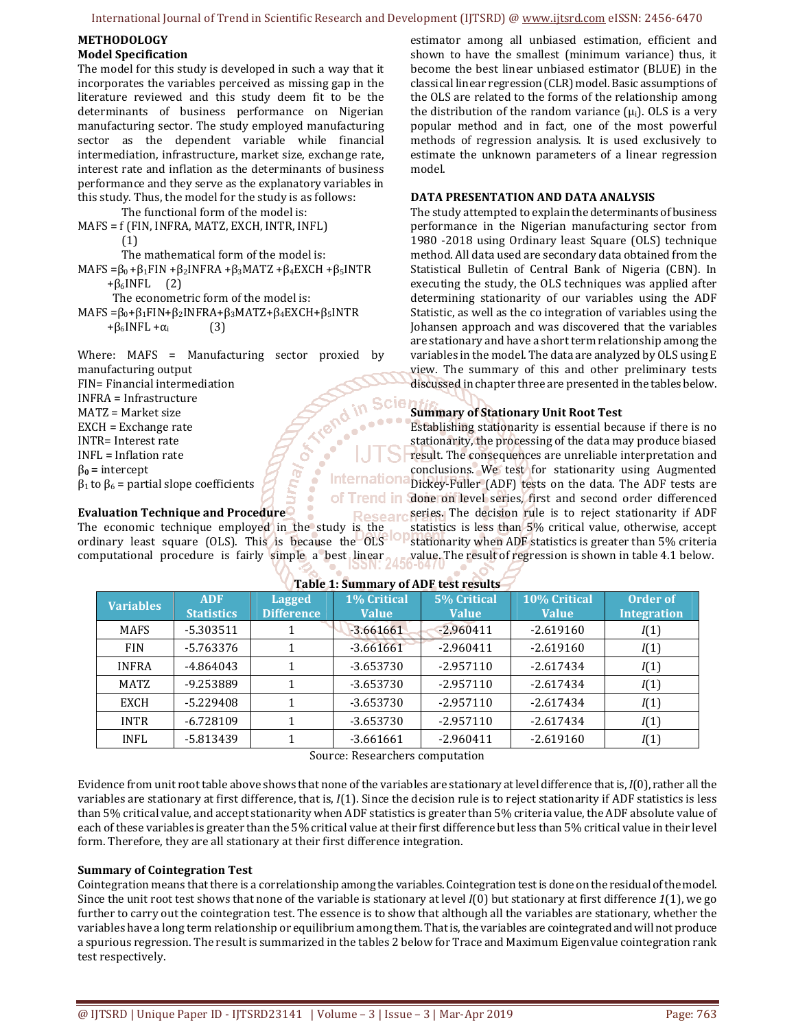#### International Journal of Trend in Scientific Research and Development (IJTSRD) @ www.ijtsrd.com eISSN: 2456-6470

#### **METHODOLOGY Model Specification**

The model for this study is developed in such a way that it incorporates the variables perceived as missing gap in the literature reviewed and this study deem fit to be the determinants of business performance on Nigerian manufacturing sector. The study employed manufacturing sector as the dependent variable while financial intermediation, infrastructure, market size, exchange rate, interest rate and inflation as the determinants of business performance and they serve as the explanatory variables in this study. Thus, the model for the study is as follows:

 The functional form of the model is: MAFS = f (FIN, INFRA, MATZ, EXCH, INTR, INFL) (1)

The mathematical form of the model is:

MAFS = $\beta_0 + \beta_1$ FIN + $\beta_2$ INFRA + $\beta_3$ MATZ + $\beta_4$ EXCH + $\beta_5$ INTR

 $+\beta_6$ INFL (2)

The econometric form of the model is:

MAFS = $\beta_0 + \beta_1$ FIN+ $\beta_2$ INFRA+ $\beta_3$ MATZ+ $\beta_4$ EXCH+ $\beta_5$ INTR  $+\beta_6$ INFL + $\alpha_i$  (3)

Where: MAFS = Manufacturing sector proxied by manufacturing output FIN= Financial intermediation **EXAMPLE INFRA = Infrastructure**<br> **EXCH = Exchange rate**<br> **EXCH = Exchange rate**<br> **INTR= Inflation rate**<br>  $\beta_0$  = intercept<br>  $\beta_1$  to  $\beta_6$  = partial slope coefficients<br> **Evaluation Technique and Procedure** INFRA = Infrastructure in Scie MATZ = Market size EXCH = Exchange rate INTR= Interest rate INFL = Inflation rate β**0 =** intercept Internationa  $β<sub>1</sub>$  to  $β<sub>6</sub>$  = partial slope coefficients of Trend in

Researd The economic technique employed in the study is the ordinary least square (OLS). This is because the OLS<sup>10</sup> computational procedure is fairly simple a best linear

estimator among all unbiased estimation, efficient and shown to have the smallest (minimum variance) thus, it become the best linear unbiased estimator (BLUE) in the classical linear regression (CLR) model. Basic assumptions of the OLS are related to the forms of the relationship among the distribution of the random variance  $(\mu_i)$ . OLS is a very popular method and in fact, one of the most powerful methods of regression analysis. It is used exclusively to estimate the unknown parameters of a linear regression model.

#### **DATA PRESENTATION AND DATA ANALYSIS**

The study attempted to explain the determinants of business performance in the Nigerian manufacturing sector from 1980 -2018 using Ordinary least Square (OLS) technique method. All data used are secondary data obtained from the Statistical Bulletin of Central Bank of Nigeria (CBN). In executing the study, the OLS techniques was applied after determining stationarity of our variables using the ADF Statistic, as well as the co integration of variables using the Johansen approach and was discovered that the variables are stationary and have a short term relationship among the variables in the model. The data are analyzed by OLS using E view. The summary of this and other preliminary tests discussed in chapter three are presented in the tables below.

#### **Summary of Stationary Unit Root Test**

Establishing stationarity is essential because if there is no stationarity, the processing of the data may produce biased result. The consequences are unreliable interpretation and conclusions. We test for stationarity using Augmented Dickey-Fuller (ADF) tests on the data. The ADF tests are done on level series, first and second order differenced series. The decision rule is to reject stationarity if ADF statistics is less than 5% critical value, otherwise, accept

stationarity when ADF statistics is greater than 5% criteria value. The result of regression is shown in table 4.1 below.

| <b>Variables</b> | <b>ADF</b><br><b>Statistics</b> | <b>Lagged</b><br>Difference | 1% Critical<br><b>Value</b> | <b>5% Critical</b><br><b>Value</b> | 10% Critical<br><b>Value</b> | Order of<br><b>Integration</b> |
|------------------|---------------------------------|-----------------------------|-----------------------------|------------------------------------|------------------------------|--------------------------------|
| <b>MAFS</b>      | $-5.303511$                     |                             | $-3.661661$                 | $-2.960411$                        | $-2.619160$                  | I(1)                           |
| <b>FIN</b>       | $-5.763376$                     |                             | $-3.661661$                 | $-2.960411$                        | $-2.619160$                  | I(1)                           |
| <b>INFRA</b>     | -4.864043                       |                             | $-3.653730$                 | $-2.957110$                        | $-2.617434$                  | I(1)                           |
| MATZ             | $-9.253889$                     |                             | $-3.653730$                 | $-2.957110$                        | $-2.617434$                  | I(1)                           |
| <b>EXCH</b>      | $-5.229408$                     |                             | $-3.653730$                 | $-2.957110$                        | $-2.617434$                  | I(1)                           |
| <b>INTR</b>      | $-6.728109$                     |                             | $-3.653730$                 | $-2.957110$                        | $-2.617434$                  | I(1)                           |
| <b>INFL</b>      | $-5.813439$                     |                             | $-3.661661$                 | $-2.960411$                        | $-2.619160$                  | I(1)                           |

#### **Table 1: Summary of ADF test results**

Source: Researchers computation

Evidence from unit root table above shows that none of the variables are stationary at level difference that is, *I*(0), rather all the variables are stationary at first difference, that is, *I*(1). Since the decision rule is to reject stationarity if ADF statistics is less than 5% critical value, and accept stationarity when ADF statistics is greater than 5% criteria value, the ADF absolute value of each of these variables is greater than the 5% critical value at their first difference but less than 5% critical value in their level form. Therefore, they are all stationary at their first difference integration.

#### **Summary of Cointegration Test**

Cointegration means that there is a correlationship among the variables. Cointegration test is done on the residual of the model. Since the unit root test shows that none of the variable is stationary at level *I*(0) but stationary at first difference *1*(1), we go further to carry out the cointegration test. The essence is to show that although all the variables are stationary, whether the variables have a long term relationship or equilibrium among them. That is, the variables are cointegrated and will not produce a spurious regression. The result is summarized in the tables 2 below for Trace and Maximum Eigenvalue cointegration rank test respectively.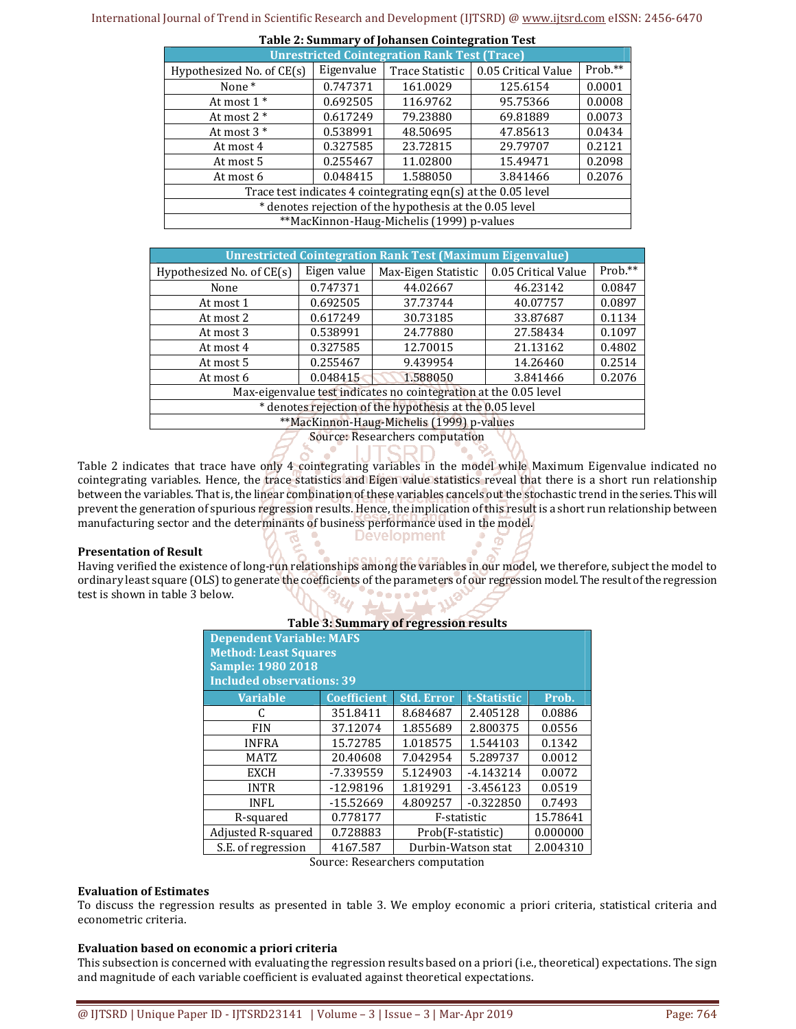| <b>Unrestricted Cointegration Rank Test (Trace)</b>              |            |                 |                     |         |  |  |
|------------------------------------------------------------------|------------|-----------------|---------------------|---------|--|--|
| Hypothesized No. of $CE(s)$                                      | Eigenvalue | Trace Statistic | 0.05 Critical Value | Prob.** |  |  |
| None*                                                            | 0.747371   | 161.0029        | 125.6154            | 0.0001  |  |  |
| At most $1^*$                                                    | 0.692505   | 116.9762        | 95.75366            | 0.0008  |  |  |
| At most $2 *$                                                    | 0.617249   | 79.23880        | 69.81889            | 0.0073  |  |  |
| At most $3*$                                                     | 0.538991   | 48.50695        | 47.85613            | 0.0434  |  |  |
| At most 4                                                        | 0.327585   | 23.72815        | 29.79707            | 0.2121  |  |  |
| At most 5                                                        | 0.255467   | 11.02800        | 15.49471            | 0.2098  |  |  |
| At most 6                                                        | 0.048415   | 1.588050        | 3.841466            | 0.2076  |  |  |
| Trace test indicates 4 cointegrating eqn $(s)$ at the 0.05 level |            |                 |                     |         |  |  |
| * denotes rejection of the hypothesis at the 0.05 level          |            |                 |                     |         |  |  |
| **MacKinnon-Haug-Michelis (1999) p-values                        |            |                 |                     |         |  |  |

| Table 2: Summary of Johansen Cointegration Test |  |  |
|-------------------------------------------------|--|--|
|                                                 |  |  |

| <b>Unrestricted Cointegration Rank Test (Maximum Eigenvalue)</b> |             |                     |                     |         |  |  |  |
|------------------------------------------------------------------|-------------|---------------------|---------------------|---------|--|--|--|
| Hypothesized No. of CE(s)                                        | Eigen value | Max-Eigen Statistic | 0.05 Critical Value | Prob.** |  |  |  |
| None                                                             | 0.747371    | 44.02667            | 46.23142            | 0.0847  |  |  |  |
| At most 1                                                        | 0.692505    | 37.73744            | 40.07757            | 0.0897  |  |  |  |
| At most 2                                                        | 0.617249    | 30.73185            | 33.87687            | 0.1134  |  |  |  |
| At most 3                                                        | 0.538991    | 24.77880            | 27.58434            | 0.1097  |  |  |  |
| At most 4                                                        | 0.327585    | 12.70015            | 21.13162            | 0.4802  |  |  |  |
| At most 5                                                        | 0.255467    | 9.439954            | 14.26460            | 0.2514  |  |  |  |
| At most 6                                                        | 0.048415    | 1.588050            | 3.841466            | 0.2076  |  |  |  |
| Max-eigenvalue test indicates no cointegration at the 0.05 level |             |                     |                     |         |  |  |  |
| * denotes rejection of the hypothesis at the 0.05 level          |             |                     |                     |         |  |  |  |
| **MacKinnon-Haug-Michelis (1999) p-values                        |             |                     |                     |         |  |  |  |
|                                                                  |             |                     |                     |         |  |  |  |

Source: Researchers computation

Table 2 indicates that trace have only 4 cointegrating variables in the model while Maximum Eigenvalue indicated no cointegrating variables. Hence, the trace statistics and Eigen value statistics reveal that there is a short run relationship between the variables. That is, the linear combination of these variables cancels out the stochastic trend in the series. This will prevent the generation of spurious regression results. Hence, the implication of this result is a short run relationship between manufacturing sector and the determinants of business performance used in the model. **Development** 

#### **Presentation of Result**

Having verified the existence of long-run relationships among the variables in our model, we therefore, subject the model to ordinary least square (OLS) to generate the coefficients of the parameters of our regression model. The result of the regression test is shown in table 3 below.

**Table 3: Summary of regression results** 

-▲→

| rapic bi bunningry or regression results<br><b>Dependent Variable: MAFS</b><br><b>Method: Least Squares</b><br><b>Sample: 1980 2018</b><br><b>Included observations: 39</b> |                   |             |                                              |  |  |  |
|-----------------------------------------------------------------------------------------------------------------------------------------------------------------------------|-------------------|-------------|----------------------------------------------|--|--|--|
| <b>Coefficient</b>                                                                                                                                                          | <b>Std. Error</b> | t-Statistic | Prob.                                        |  |  |  |
| 351.8411                                                                                                                                                                    | 8.684687          | 2.405128    | 0.0886                                       |  |  |  |
| 37.12074                                                                                                                                                                    | 1.855689          | 2.800375    | 0.0556                                       |  |  |  |
| 15.72785                                                                                                                                                                    | 1.018575          | 1.544103    | 0.1342                                       |  |  |  |
| 20.40608                                                                                                                                                                    | 7.042954          | 5.289737    | 0.0012                                       |  |  |  |
| -7.339559                                                                                                                                                                   | 5.124903          | $-4.143214$ | 0.0072                                       |  |  |  |
| $-12.98196$                                                                                                                                                                 | 1.819291          | $-3.456123$ | 0.0519                                       |  |  |  |
| $-15.52669$<br><b>INFL</b>                                                                                                                                                  |                   | $-0.322850$ | 0.7493                                       |  |  |  |
| 0.778177                                                                                                                                                                    |                   | 15.78641    |                                              |  |  |  |
| Adjusted R-squared<br>0.728883<br>0.000000<br>Prob(F-statistic)                                                                                                             |                   |             |                                              |  |  |  |
| S.E. of regression<br>Durbin-Watson stat<br>2.004310<br>4167.587                                                                                                            |                   |             |                                              |  |  |  |
|                                                                                                                                                                             |                   | 4.809257    | F-statistic<br>Course Descorpers computation |  |  |  |

Source: Researchers computation

#### **Evaluation of Estimates**

To discuss the regression results as presented in table 3. We employ economic a priori criteria, statistical criteria and econometric criteria.

#### **Evaluation based on economic a priori criteria**

This subsection is concerned with evaluating the regression results based on a priori (i.e., theoretical) expectations. The sign and magnitude of each variable coefficient is evaluated against theoretical expectations.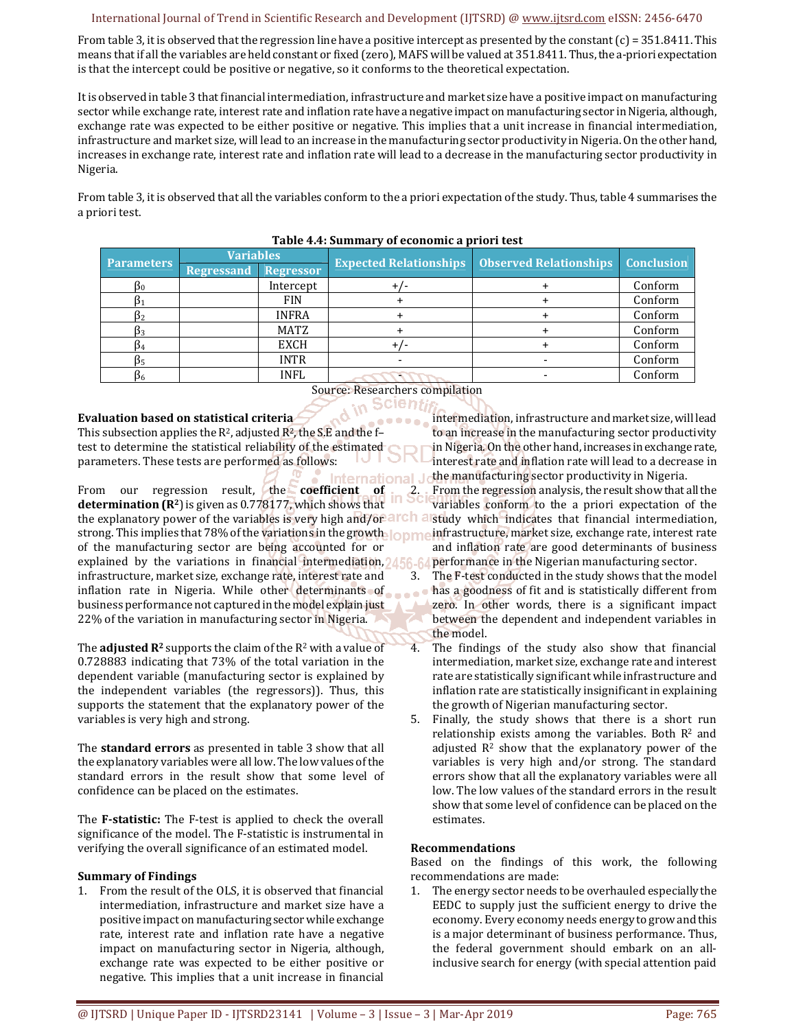#### International Journal of Trend in Scientific Research and Development (IJTSRD) @ www.ijtsrd.com eISSN: 2456-6470

From table 3, it is observed that the regression line have a positive intercept as presented by the constant  $(c) = 351.8411$ . This means that if all the variables are held constant or fixed (zero), MAFS will be valued at 351.8411. Thus, the a-priori expectation is that the intercept could be positive or negative, so it conforms to the theoretical expectation.

It is observed in table 3 that financial intermediation, infrastructure and market size have a positive impact on manufacturing sector while exchange rate, interest rate and inflation rate have a negative impact on manufacturing sector in Nigeria, although, exchange rate was expected to be either positive or negative. This implies that a unit increase in financial intermediation, infrastructure and market size, will lead to an increase in the manufacturing sector productivity in Nigeria. On the other hand, increases in exchange rate, interest rate and inflation rate will lead to a decrease in the manufacturing sector productivity in Nigeria.

From table 3, it is observed that all the variables conform to the a priori expectation of the study. Thus, table 4 summarises the a priori test.

| <b>Parameters</b> | <b>Variables</b>  |                  | <b>Expected Relationships</b> | <b>Observed Relationships   Conclusion</b> |         |
|-------------------|-------------------|------------------|-------------------------------|--------------------------------------------|---------|
|                   | <b>Regressand</b> | <b>Regressor</b> |                               |                                            |         |
| Þ٥                |                   | Intercept        |                               |                                            | Conform |
|                   |                   | <b>FIN</b>       |                               |                                            | Conform |
|                   |                   | <b>INFRA</b>     |                               |                                            | Conform |
|                   |                   | <b>MATZ</b>      |                               |                                            | Conform |
|                   |                   | <b>EXCH</b>      |                               |                                            | Conform |
|                   |                   | <b>INTR</b>      |                               |                                            | Conform |
| D6                |                   | <b>INFL</b>      |                               |                                            | Conform |

#### **Table 4.4: Summary of economic a priori test**

# Source: Researchers compilation

**Evaluation based on statistical criteria**

This subsection applies the  $R^2$ , adjusted  $R^2$ , the S.E and the ftest to determine the statistical reliability of the estimated parameters. These tests are performed as follows:

nternational From our regression result, the **coefficient of determination (R2**) is given as 0.778177, which shows that the explanatory power of the variables is very high and/or all cliently which indicates that financial intermediation, strong. This implies that 78% of the variations in the growth lopme of the manufacturing sector are being accounted for or explained by the variations in financial intermediation, 156-6 infrastructure, market size, exchange rate, interest rate and inflation rate in Nigeria. While other determinants of business performance not captured in the model explain just 22% of the variation in manufacturing sector in Nigeria.

The **adjusted**  $\mathbb{R}^2$  supports the claim of the  $\mathbb{R}^2$  with a value of 0.728883 indicating that 73% of the total variation in the dependent variable (manufacturing sector is explained by the independent variables (the regressors)). Thus, this supports the statement that the explanatory power of the variables is very high and strong.

The **standard errors** as presented in table 3 show that all the explanatory variables were all low. The low values of the standard errors in the result show that some level of confidence can be placed on the estimates.

The **F-statistic:** The F-test is applied to check the overall significance of the model. The F-statistic is instrumental in verifying the overall significance of an estimated model.

#### **Summary of Findings**

1. From the result of the OLS, it is observed that financial intermediation, infrastructure and market size have a positive impact on manufacturing sector while exchange rate, interest rate and inflation rate have a negative impact on manufacturing sector in Nigeria, although, exchange rate was expected to be either positive or negative. This implies that a unit increase in financial intermediation, infrastructure and market size, will lead to an increase in the manufacturing sector productivity in Nigeria. On the other hand, increases in exchange rate, interest rate and inflation rate will lead to a decrease in the manufacturing sector productivity in Nigeria.

2. From the regression analysis, the result show that all the variables conform to the a priori expectation of the infrastructure, market size, exchange rate, interest rate and inflation rate are good determinants of business performance in the Nigerian manufacturing sector.

3. The F-test conducted in the study shows that the model ... has a goodness of fit and is statistically different from zero. In other words, there is a significant impact between the dependent and independent variables in the model.

- 4. The findings of the study also show that financial intermediation, market size, exchange rate and interest rate are statistically significant while infrastructure and inflation rate are statistically insignificant in explaining the growth of Nigerian manufacturing sector.
- 5. Finally, the study shows that there is a short run relationship exists among the variables. Both  $\mathbb{R}^2$  and adjusted  $R<sup>2</sup>$  show that the explanatory power of the variables is very high and/or strong. The standard errors show that all the explanatory variables were all low. The low values of the standard errors in the result show that some level of confidence can be placed on the estimates.

#### **Recommendations**

Based on the findings of this work, the following recommendations are made:

The energy sector needs to be overhauled especially the EEDC to supply just the sufficient energy to drive the economy. Every economy needs energy to grow and this is a major determinant of business performance. Thus, the federal government should embark on an allinclusive search for energy (with special attention paid